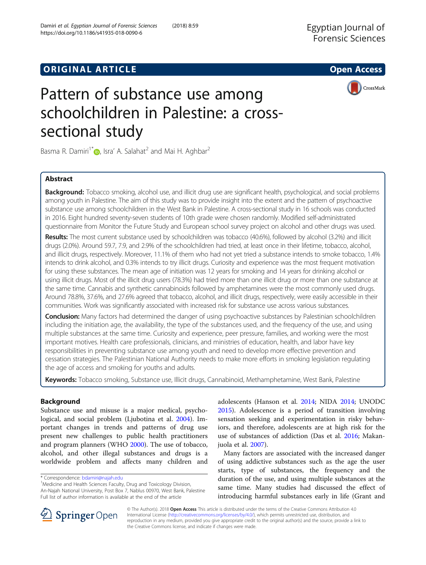# **ORIGINAL ARTICLE CONSERVANCE IN A LOCAL CONSERVANCE IN A LOCAL CONSERVANCE IN A LOCAL CONSERVANCE IN A LOCAL CONS**





# Pattern of substance use among schoolchildren in Palestine: a crosssectional study

Basma R. Damiri<sup>1\*</sup>  $\bullet$ [,](http://orcid.org/0000-0001-8242-391X) Isra' A. Salahat<sup>2</sup> and Mai H. Aghbar<sup>2</sup>

# Abstract

Background: Tobacco smoking, alcohol use, and illicit drug use are significant health, psychological, and social problems among youth in Palestine. The aim of this study was to provide insight into the extent and the pattern of psychoactive substance use among schoolchildren in the West Bank in Palestine. A cross-sectional study in 16 schools was conducted in 2016. Eight hundred seventy-seven students of 10th grade were chosen randomly. Modified self-administrated questionnaire from Monitor the Future Study and European school survey project on alcohol and other drugs was used.

Results: The most current substance used by schoolchildren was tobacco (40.6%), followed by alcohol (3.2%) and illicit drugs (2.0%). Around 59.7, 7.9, and 2.9% of the schoolchildren had tried, at least once in their lifetime, tobacco, alcohol, and illicit drugs, respectively. Moreover, 11.1% of them who had not yet tried a substance intends to smoke tobacco, 1.4% intends to drink alcohol, and 0.3% intends to try illicit drugs. Curiosity and experience was the most frequent motivation for using these substances. The mean age of initiation was 12 years for smoking and 14 years for drinking alcohol or using illicit drugs. Most of the illicit drug users (78.3%) had tried more than one illicit drug or more than one substance at the same time. Cannabis and synthetic cannabinoids followed by amphetamines were the most commonly used drugs. Around 78.8%, 37.6%, and 27.6% agreed that tobacco, alcohol, and illicit drugs, respectively, were easily accessible in their communities. Work was significantly associated with increased risk for substance use across various substances.

**Conclusion:** Many factors had determined the danger of using psychoactive substances by Palestinian schoolchildren including the initiation age, the availability, the type of the substances used, and the frequency of the use, and using multiple substances at the same time. Curiosity and experience, peer pressure, families, and working were the most important motives. Health care professionals, clinicians, and ministries of education, health, and labor have key responsibilities in preventing substance use among youth and need to develop more effective prevention and cessation strategies. The Palestinian National Authority needs to make more efforts in smoking legislation regulating the age of access and smoking for youths and adults.

Keywords: Tobacco smoking, Substance use, Illicit drugs, Cannabinoid, Methamphetamine, West Bank, Palestine

# Background

Substance use and misuse is a major medical, psychological, and social problem (Ljubotina et al. [2004\)](#page-8-0). Important changes in trends and patterns of drug use present new challenges to public health practitioners and program planners (WHO [2000\)](#page-9-0). The use of tobacco, alcohol, and other illegal substances and drugs is a worldwide problem and affects many children and

<sup>1</sup>Medicine and Health Sciences Faculty, Drug and Toxicology Division, An-Najah National University, Post Box 7, Nablus 00970, West Bank, Palestine Full list of author information is available at the end of the article

adolescents (Hanson et al. [2014](#page-8-0); NIDA [2014;](#page-8-0) UNODC [2015](#page-9-0)). Adolescence is a period of transition involving sensation seeking and experimentation in risky behaviors, and therefore, adolescents are at high risk for the use of substances of addiction (Das et al. [2016;](#page-8-0) Makanjuola et al. [2007\)](#page-8-0).

Many factors are associated with the increased danger of using addictive substances such as the age the user starts, type of substances, the frequency and the duration of the use, and using multiple substances at the same time. Many studies had discussed the effect of introducing harmful substances early in life (Grant and



© The Author(s). 2018 Open Access This article is distributed under the terms of the Creative Commons Attribution 4.0 International License ([http://creativecommons.org/licenses/by/4.0/\)](http://creativecommons.org/licenses/by/4.0/), which permits unrestricted use, distribution, and reproduction in any medium, provided you give appropriate credit to the original author(s) and the source, provide a link to the Creative Commons license, and indicate if changes were made.

<sup>\*</sup> Correspondence: [bdamiri@najah.edu](mailto:bdamiri@najah.edu) <sup>1</sup>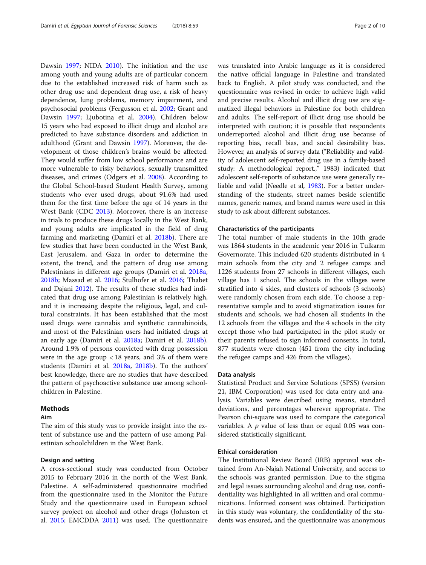Dawsin [1997](#page-8-0); NIDA [2010](#page-8-0)). The initiation and the use among youth and young adults are of particular concern due to the established increased risk of harm such as other drug use and dependent drug use, a risk of heavy dependence, lung problems, memory impairment, and psychosocial problems (Fergusson et al. [2002;](#page-8-0) Grant and Dawsin [1997](#page-8-0); Ljubotina et al. [2004\)](#page-8-0). Children below 15 years who had exposed to illicit drugs and alcohol are predicted to have substance disorders and addiction in adulthood (Grant and Dawsin [1997\)](#page-8-0). Moreover, the development of those children's brains would be affected. They would suffer from low school performance and are more vulnerable to risky behaviors, sexually transmitted diseases, and crimes (Odgers et al. [2008\)](#page-8-0). According to the Global School-based Student Health Survey, among students who ever used drugs, about 91.6% had used them for the first time before the age of 14 years in the West Bank (CDC [2013\)](#page-8-0). Moreover, there is an increase in trials to produce these drugs locally in the West Bank, and young adults are implicated in the field of drug farming and marketing (Damiri et al. [2018b\)](#page-8-0). There are few studies that have been conducted in the West Bank, East Jerusalem, and Gaza in order to determine the extent, the trend, and the pattern of drug use among Palestinians in different age groups (Damiri et al. [2018a](#page-8-0), [2018b](#page-8-0); Massad et al. [2016](#page-8-0); Stulhofer et al. [2016;](#page-9-0) Thabet and Dajani [2012](#page-9-0)). The results of these studies had indicated that drug use among Palestinian is relatively high, and it is increasing despite the religious, legal, and cultural constraints. It has been established that the most used drugs were cannabis and synthetic cannabinoids, and most of the Palestinian users had initiated drugs at an early age (Damiri et al. [2018a;](#page-8-0) Damiri et al. [2018b](#page-8-0)). Around 1.9% of persons convicted with drug possession were in the age group  $\langle 18 \rangle$  years, and 3% of them were students (Damiri et al. [2018a](#page-8-0), [2018b\)](#page-8-0). To the authors' best knowledge, there are no studies that have described the pattern of psychoactive substance use among schoolchildren in Palestine.

## Methods

# Aim

The aim of this study was to provide insight into the extent of substance use and the pattern of use among Palestinian schoolchildren in the West Bank.

## Design and setting

A cross-sectional study was conducted from October 2015 to February 2016 in the north of the West Bank, Palestine. A self-administered questionnaire modified from the questionnaire used in the Monitor the Future Study and the questionnaire used in European school survey project on alcohol and other drugs (Johnston et al. [2015;](#page-8-0) EMCDDA [2011\)](#page-8-0) was used. The questionnaire was translated into Arabic language as it is considered the native official language in Palestine and translated back to English. A pilot study was conducted, and the questionnaire was revised in order to achieve high valid and precise results. Alcohol and illicit drug use are stigmatized illegal behaviors in Palestine for both children and adults. The self-report of illicit drug use should be interpreted with caution; it is possible that respondents underreported alcohol and illicit drug use because of reporting bias, recall bias, and social desirability bias. However, an analysis of survey data ("Reliability and validity of adolescent self-reported drug use in a family-based study: A methodological report.," 1983) indicated that adolescent self-reports of substance use were generally reliable and valid (Needle et al, [1983](#page-8-0)). For a better understanding of the students, street names beside scientific names, generic names, and brand names were used in this study to ask about different substances.

#### Characteristics of the participants

The total number of male students in the 10th grade was 1864 students in the academic year 2016 in Tulkarm Governorate. This included 620 students distributed in 4 main schools from the city and 2 refugee camps and 1226 students from 27 schools in different villages, each village has 1 school. The schools in the villages were stratified into 4 sides, and clusters of schools (3 schools) were randomly chosen from each side. To choose a representative sample and to avoid stigmatization issues for students and schools, we had chosen all students in the 12 schools from the villages and the 4 schools in the city except those who had participated in the pilot study or their parents refused to sign informed consents. In total, 877 students were chosen (451 from the city including the refugee camps and 426 from the villages).

#### Data analysis

Statistical Product and Service Solutions (SPSS) (version 21, IBM Corporation) was used for data entry and analysis. Variables were described using means, standard deviations, and percentages wherever appropriate. The Pearson chi-square was used to compare the categorical variables. A  $p$  value of less than or equal 0.05 was considered statistically significant.

# Ethical consideration

The Institutional Review Board (IRB) approval was obtained from An-Najah National University, and access to the schools was granted permission. Due to the stigma and legal issues surrounding alcohol and drug use, confidentiality was highlighted in all written and oral communications. Informed consent was obtained. Participation in this study was voluntary, the confidentiality of the students was ensured, and the questionnaire was anonymous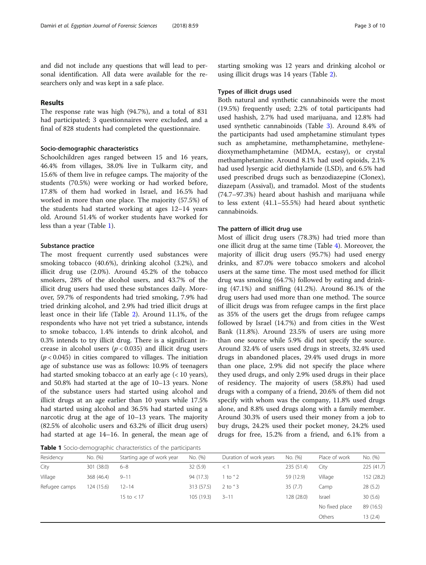# Results

The response rate was high (94.7%), and a total of 831 had participated; 3 questionnaires were excluded, and a final of 828 students had completed the questionnaire.

## Socio-demographic characteristics

Schoolchildren ages ranged between 15 and 16 years, 46.4% from villages, 38.0% live in Tulkarm city, and 15.6% of them live in refugee camps. The majority of the students (70.5%) were working or had worked before, 17.8% of them had worked in Israel, and 16.5% had worked in more than one place. The majority (57.5%) of the students had started working at ages 12–14 years old. Around 51.4% of worker students have worked for less than a year (Table 1).

# Substance practice

The most frequent currently used substances were smoking tobacco (40.6%), drinking alcohol (3.2%), and illicit drug use (2.0%). Around 45.2% of the tobacco smokers, 28% of the alcohol users, and 43.7% of the illicit drug users had used these substances daily. Moreover, 59.7% of respondents had tried smoking, 7.9% had tried drinking alcohol, and 2.9% had tried illicit drugs at least once in their life (Table [2\)](#page-3-0). Around 11.1%, of the respondents who have not yet tried a substance, intends to smoke tobacco, 1.4% intends to drink alcohol, and 0.3% intends to try illicit drug. There is a significant increase in alcohol users ( $p < 0.035$ ) and illicit drug users  $(p < 0.045)$  in cities compared to villages. The initiation age of substance use was as follows: 10.9% of teenagers had started smoking tobacco at an early age (< 10 years), and 50.8% had started at the age of 10–13 years. None of the substance users had started using alcohol and illicit drugs at an age earlier than 10 years while 17.5% had started using alcohol and 36.5% had started using a narcotic drug at the age of 10–13 years. The majority (82.5% of alcoholic users and 63.2% of illicit drug users) had started at age 14–16. In general, the mean age of

Table 1 Socio-demographic characteristics of the participants

starting smoking was 12 years and drinking alcohol or using illicit drugs was 14 years (Table [2](#page-3-0)).

# Types of illicit drugs used

Both natural and synthetic cannabinoids were the most (19.5%) frequently used; 2.2% of total participants had used hashish, 2.7% had used marijuana, and 12.8% had used synthetic cannabinoids (Table [3\)](#page-3-0). Around 8.4% of the participants had used amphetamine stimulant types such as amphetamine, methamphetamine, methylenedioxymethamphetamine (MDMA, ecstasy), or crystal methamphetamine. Around 8.1% had used opioids, 2.1% had used lysergic acid diethylamide (LSD), and 6.5% had used prescribed drugs such as benzodiazepine (Clonex), diazepam (Assival), and tramadol. Most of the students (74.7–97.3%) heard about hashish and marijuana while to less extent (41.1–55.5%) had heard about synthetic cannabinoids.

# The pattern of illicit drug use

Most of illicit drug users (78.3%) had tried more than one illicit drug at the same time (Table [4\)](#page-4-0). Moreover, the majority of illicit drug users (95.7%) had used energy drinks, and 87.0% were tobacco smokers and alcohol users at the same time. The most used method for illicit drug was smoking (64.7%) followed by eating and drinking (47.1%) and sniffing (41.2%). Around 86.1% of the drug users had used more than one method. The source of illicit drugs was from refugee camps in the first place as 35% of the users get the drugs from refugee camps followed by Israel (14.7%) and from cities in the West Bank (11.8%). Around 23.5% of users are using more than one source while 5.9% did not specify the source. Around 32.4% of users used drugs in streets, 32.4% used drugs in abandoned places, 29.4% used drugs in more than one place, 2.9% did not specify the place where they used drugs, and only 2.9% used drugs in their place of residency. The majority of users (58.8%) had used drugs with a company of a friend, 20.6% of them did not specify with whom was the company, 11.8% used drugs alone, and 8.8% used drugs along with a family member. Around 30.3% of users used their money from a job to buy drugs, 24.2% used their pocket money, 24.2% used drugs for free, 15.2% from a friend, and 6.1% from a

| Residency     | No. (%)    | Starting age of work year | No. (%)    | Duration of work years | No. (%)    | Place of work  | No. (%)    |
|---------------|------------|---------------------------|------------|------------------------|------------|----------------|------------|
| City          | 301 (38.0) | $6 - 8$                   | 32(5.9)    | < 1                    | 235 (51.4) | City           | 225 (41.7) |
| Village       | 368 (46.4) | $9 - 11$                  | 94 (17.3)  | l to '2                | 59 (12.9)  | Village        | 152 (28.2) |
| Refugee camps | 124 (15.6) | $12 - 14$                 | 313 (57.5) | $2$ to $3$             | 35(7.7)    | Camp           | 28 (5.2)   |
|               |            | 15 to $<$ 17              | 105 (19.3) | $3 - 11$               | 128 (28.0) | Israel         | 30(5.6)    |
|               |            |                           |            |                        |            | No fixed place | 89 (16.5)  |
|               |            |                           |            |                        |            | Others         | 13 (2.4)   |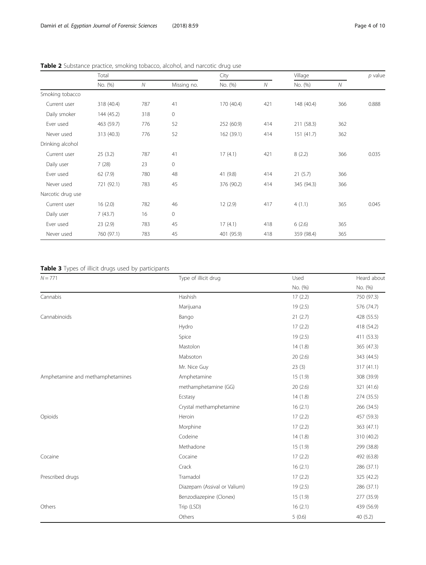|                   | Total      |              | City        |            | Village |            | $p$ value    |       |
|-------------------|------------|--------------|-------------|------------|---------|------------|--------------|-------|
|                   | No. (%)    | $\mathcal N$ | Missing no. | No. (%)    | N       | No. (%)    | $\mathcal N$ |       |
| Smoking tobacco   |            |              |             |            |         |            |              |       |
| Current user      | 318 (40.4) | 787          | 41          | 170 (40.4) | 421     | 148 (40.4) | 366          | 0.888 |
| Daily smoker      | 144 (45.2) | 318          | 0           |            |         |            |              |       |
| Ever used         | 463 (59.7) | 776          | 52          | 252 (60.9) | 414     | 211 (58.3) | 362          |       |
| Never used        | 313 (40.3) | 776          | 52          | 162 (39.1) | 414     | 151(41.7)  | 362          |       |
| Drinking alcohol  |            |              |             |            |         |            |              |       |
| Current user      | 25(3.2)    | 787          | 41          | 17(4.1)    | 421     | 8(2.2)     | 366          | 0.035 |
| Daily user        | 7(28)      | 23           | 0           |            |         |            |              |       |
| Ever used         | 62(7.9)    | 780          | 48          | 41 (9.8)   | 414     | 21(5.7)    | 366          |       |
| Never used        | 721 (92.1) | 783          | 45          | 376 (90.2) | 414     | 345 (94.3) | 366          |       |
| Narcotic drug use |            |              |             |            |         |            |              |       |
| Current user      | 16(2.0)    | 782          | 46          | 12(2.9)    | 417     | 4(1.1)     | 365          | 0.045 |
| Daily user        | 7(43.7)    | 16           | 0           |            |         |            |              |       |
| Ever used         | 23(2.9)    | 783          | 45          | 17(4.1)    | 418     | 6(2.6)     | 365          |       |
| Never used        | 760 (97.1) | 783          | 45          | 401 (95.9) | 418     | 359 (98.4) | 365          |       |

<span id="page-3-0"></span>Table 2 Substance practice, smoking tobacco, alcohol, and narcotic drug use

Table 3 Types of illicit drugs used by participants

| $N = 771$                        | Type of illicit drug         | Used     | Heard about |  |
|----------------------------------|------------------------------|----------|-------------|--|
|                                  |                              | No. (%)  | No. (%)     |  |
| Cannabis                         | Hashish                      | 17(2.2)  | 750 (97.3)  |  |
|                                  | Marijuana                    | 19 (2.5) | 576 (74.7)  |  |
| Cannabinoids                     | Bango                        | 21(2.7)  | 428 (55.5)  |  |
|                                  | Hydro                        | 17(2.2)  | 418 (54.2)  |  |
|                                  | Spice                        | 19(2.5)  | 411 (53.3)  |  |
|                                  | Mastolon                     | 14(1.8)  | 365 (47.3)  |  |
|                                  | Mabsoton                     | 20(2.6)  | 343 (44.5)  |  |
|                                  | Mr. Nice Guy                 | 23(3)    | 317 (41.1)  |  |
| Amphetamine and methamphetamines | Amphetamine                  | 15(1.9)  | 308 (39.9)  |  |
|                                  | methamphetamine (GG)         | 20(2.6)  | 321 (41.6)  |  |
|                                  | Ecstasy                      | 14(1.8)  | 274 (35.5)  |  |
|                                  | Crystal methamphetamine      | 16(2.1)  | 266 (34.5)  |  |
| Opioids                          | Heroin                       | 17(2.2)  | 457 (59.3)  |  |
|                                  | Morphine                     | 17(2.2)  | 363 (47.1)  |  |
|                                  | Codeine                      | 14(1.8)  | 310 (40.2)  |  |
|                                  | Methadone                    | 15(1.9)  | 299 (38.8)  |  |
| Cocaine                          | Cocaine                      | 17(2.2)  | 492 (63.8)  |  |
|                                  | Crack                        | 16(2.1)  | 286 (37.1)  |  |
| Prescribed drugs                 | Tramadol                     | 17(2.2)  | 325 (42.2)  |  |
|                                  | Diazepam (Assival or Valium) | 19 (2.5) | 286 (37.1)  |  |
|                                  | Benzodiazepine (Clonex)      | 15(1.9)  | 277 (35.9)  |  |
| Others                           | Trip (LSD)                   | 16(2.1)  | 439 (56.9)  |  |
|                                  | Others                       | 5(0.6)   | 40 (5.2)    |  |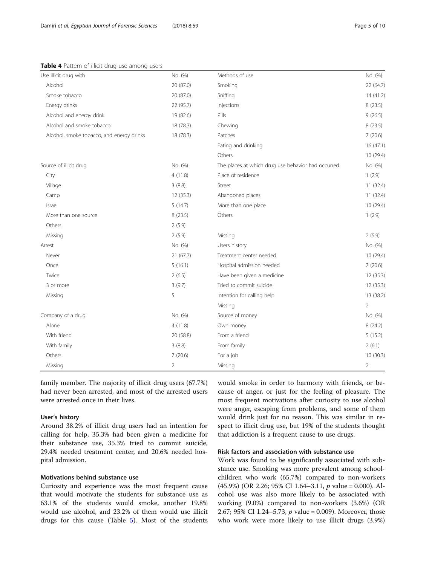<span id="page-4-0"></span>Table 4 Pattern of illicit drug use among users

| Use illicit drug with                     | No. (%)        | Methods of use                                     | No. (%)        |
|-------------------------------------------|----------------|----------------------------------------------------|----------------|
| Alcohol                                   | 20 (87.0)      | Smoking                                            | 22(64.7)       |
| Smoke tobacco                             | 20 (87.0)      | Sniffing                                           | 14(41.2)       |
| Energy drinks                             | 22 (95.7)      | Injections                                         | 8(23.5)        |
| Alcohol and energy drink                  | 19 (82.6)      | Pills                                              | 9(26.5)        |
| Alcohol and smoke tobacco                 | 18 (78.3)      | Chewing                                            | 8(23.5)        |
| Alcohol, smoke tobacco, and energy drinks | 18 (78.3)      | Patches                                            | 7(20.6)        |
|                                           |                | Eating and drinking                                | 16 (47.1)      |
|                                           |                | Others                                             | 10 (29.4)      |
| Source of illicit drug                    | No. (%)        | The places at which drug use behavior had occurred | No. (%)        |
| City                                      | 4(11.8)        | Place of residence                                 | 1(2.9)         |
| Village                                   | 3(8.8)         | Street                                             | 11(32.4)       |
| Camp                                      | 12 (35.3)      | Abandoned places                                   | 11(32.4)       |
| Israel                                    | 5(14.7)        | More than one place                                | 10 (29.4)      |
| More than one source                      | 8(23.5)        | Others                                             | 1(2.9)         |
| Others                                    | 2(5.9)         |                                                    |                |
| Missing                                   | 2(5.9)         | Missing                                            | 2(5.9)         |
| Arrest                                    | No. (%)        | Users history                                      | No. (%)        |
| Never                                     | 21(67.7)       | Treatment center needed                            | 10 (29.4)      |
| Once                                      | 5(16.1)        | Hospital admission needed                          | 7(20.6)        |
| Twice                                     | 2(6.5)         | Have been given a medicine                         | 12(35.3)       |
| 3 or more                                 | 3(9.7)         | Tried to commit suicide                            | 12 (35.3)      |
| Missing                                   | 5              | Intention for calling help                         | 13 (38.2)      |
|                                           |                | Missing                                            | $\overline{2}$ |
| Company of a drug                         | No. (%)        | Source of money                                    | No. (%)        |
| Alone                                     | 4(11.8)        | Own money                                          | 8(24.2)        |
| With friend                               | 20 (58.8)      | From a friend                                      | 5(15.2)        |
| With family                               | 3(8.8)         | From family                                        | 2(6.1)         |
| Others                                    | 7(20.6)        | For a job                                          | 10(30.3)       |
| Missing                                   | $\overline{2}$ | Missing                                            | $\overline{2}$ |

family member. The majority of illicit drug users (67.7%) had never been arrested, and most of the arrested users were arrested once in their lives.

## User's history

Around 38.2% of illicit drug users had an intention for calling for help, 35.3% had been given a medicine for their substance use, 35.3% tried to commit suicide, 29.4% needed treatment center, and 20.6% needed hospital admission.

#### Motivations behind substance use

Curiosity and experience was the most frequent cause that would motivate the students for substance use as 63.1% of the students would smoke, another 19.8% would use alcohol, and 23.2% of them would use illicit drugs for this cause (Table [5](#page-5-0)). Most of the students would smoke in order to harmony with friends, or because of anger, or just for the feeling of pleasure. The most frequent motivations after curiosity to use alcohol were anger, escaping from problems, and some of them would drink just for no reason. This was similar in respect to illicit drug use, but 19% of the students thought that addiction is a frequent cause to use drugs.

## Risk factors and association with substance use

Work was found to be significantly associated with substance use. Smoking was more prevalent among schoolchildren who work (65.7%) compared to non-workers (45.9%) (OR 2.26; 95% CI 1.64–3.11, p value = 0.000). Alcohol use was also more likely to be associated with working (9.0%) compared to non-workers (3.6%) (OR 2.67; 95% CI 1.24–5.73,  $p$  value = 0.009). Moreover, those who work were more likely to use illicit drugs (3.9%)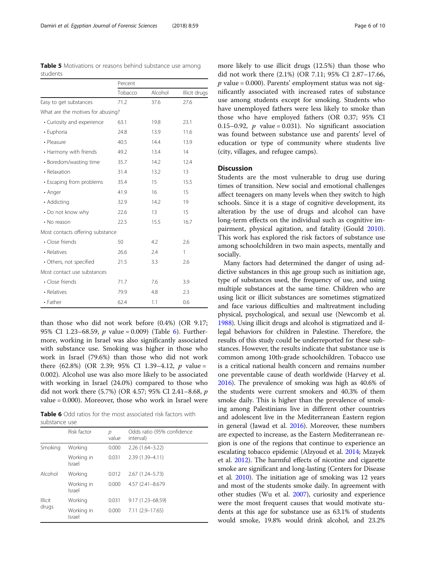<span id="page-5-0"></span>Table 5 Motivations or reasons behind substance use among students

|                                   | Percent |         |               |  |
|-----------------------------------|---------|---------|---------------|--|
|                                   | Tobacco | Alcohol | Illicit drugs |  |
| Easy to get substances            | 71.2    | 37.6    | 27.6          |  |
| What are the motives for abusing? |         |         |               |  |
| • Curiosity and experience        | 63.1    | 19.8    | 23.1          |  |
| · Euphoria                        | 24.8    | 13.9    | 11.6          |  |
| • Pleasure                        | 40.5    | 14.4    | 13.9          |  |
| • Harmony with friends            | 49.2    | 13.4    | 14            |  |
| • Boredom/wasting time            | 35.7    | 14.2    | 12.4          |  |
| • Relaxation                      | 31.4    | 13.2    | 13            |  |
| • Escaping from problems          | 35.4    | 15      | 15.5          |  |
| • Anger                           | 41.9    | 16      | 15            |  |
| • Addicting                       | 32.9    | 14.2    | 19            |  |
| • Do not know why                 | 22.6    | 13      | 15            |  |
| • No reason                       | 22.5    | 15.5    | 16.7          |  |
| Most contacts offering substance  |         |         |               |  |
| • Close friends                   | 50      | 4.2     | 2.6           |  |
| • Relatives                       | 26.6    | 2.4     | 1             |  |
| • Others, not specified           | 21.5    | 3.3     | 2.6           |  |
| Most contact use substances       |         |         |               |  |
| • Close friends                   | 71.7    | 7.6     | 3.9           |  |
| • Relatives                       | 79.9    | 4.8     | 2.3           |  |
| • Father                          | 62.4    | 1.1     | 0.6           |  |

than those who did not work before (0.4%) (OR 9.17; 95% CI 1.23–68.59,  $p$  value = 0.009) (Table 6). Furthermore, working in Israel was also significantly associated with substance use. Smoking was higher in those who work in Israel (79.6%) than those who did not work there (62.8%) (OR 2.39; 95% CI 1.39-4.12,  $p$  value = 0.002). Alcohol use was also more likely to be associated with working in Israel (24.0%) compared to those who did not work there (5.7%) (OR 4.57; 95% CI 2.41–8.68, p value = 0.000). Moreover, those who work in Israel were

Table 6 Odd ratios for the most associated risk factors with substance use

|                         | Risk factor          | р<br>value | Odds ratio (95% confidence<br>interval) |
|-------------------------|----------------------|------------|-----------------------------------------|
| Smoking                 | Working              | 0.000      | $2.26(1.64 - 3.22)$                     |
|                         | Working in<br>Israel | 0.031      | 2.39 (1.39-4.11)                        |
| Alcohol                 | Working              | 0.012      | $2.67(1.24 - 5.73)$                     |
|                         | Working in<br>Israel | 0.000      | 4.57 (2.41-8.679                        |
| <b>Illicit</b><br>drugs | Working              | 0.031      | 9.17 (1.23-68.59)                       |
|                         | Working in<br>Israel | 0.000      | 7.11 (2.9-17.65)                        |

more likely to use illicit drugs (12.5%) than those who did not work there (2.1%) (OR 7.11; 95% CI 2.87–17.66,  $p$  value = 0.000). Parents' employment status was not significantly associated with increased rates of substance use among students except for smoking. Students who have unemployed fathers were less likely to smoke than those who have employed fathers (OR 0.37; 95% CI 0.15–0.92, *p* value = 0.031). No significant association was found between substance use and parents' level of education or type of community where students live (city, villages, and refugee camps).

# **Discussion**

Students are the most vulnerable to drug use during times of transition. New social and emotional challenges affect teenagers on many levels when they switch to high schools. Since it is a stage of cognitive development, its alteration by the use of drugs and alcohol can have long-term effects on the individual such as cognitive impairment, physical agitation, and fatality (Gould [2010](#page-8-0)). This work has explored the risk factors of substance use among schoolchildren in two main aspects, mentally and socially.

Many factors had determined the danger of using addictive substances in this age group such as initiation age, type of substances used, the frequency of use, and using multiple substances at the same time. Children who are using licit or illicit substances are sometimes stigmatized and face various difficulties and maltreatment including physical, psychological, and sexual use (Newcomb et al. [1988\)](#page-8-0). Using illicit drugs and alcohol is stigmatized and illegal behaviors for children in Palestine. Therefore, the results of this study could be underreported for these substances. However, the results indicate that substance use is common among 10th-grade schoolchildren. Tobacco use is a critical national health concern and remains number one preventable cause of death worldwide (Harvey et al. [2016\)](#page-8-0). The prevalence of smoking was high as 40.6% of the students were current smokers and 40.3% of them smoke daily. This is higher than the prevalence of smoking among Palestinians live in different other countries and adolescent live in the Mediterranean Eastern region in general (Jawad et al. [2016\)](#page-8-0). Moreover, these numbers are expected to increase, as the Eastern Mediterranean region is one of the regions that continue to experience an escalating tobacco epidemic (Alzyoud et al. [2014](#page-8-0); Mzayek et al. [2012](#page-8-0)). The harmful effects of nicotine and cigarette smoke are significant and long-lasting (Centers for Disease et al. [2010](#page-8-0)). The initiation age of smoking was 12 years and most of the students smoke daily. In agreement with other studies (Wu et al. [2007\)](#page-9-0), curiosity and experience were the most frequent causes that would motivate students at this age for substance use as 63.1% of students would smoke, 19.8% would drink alcohol, and 23.2%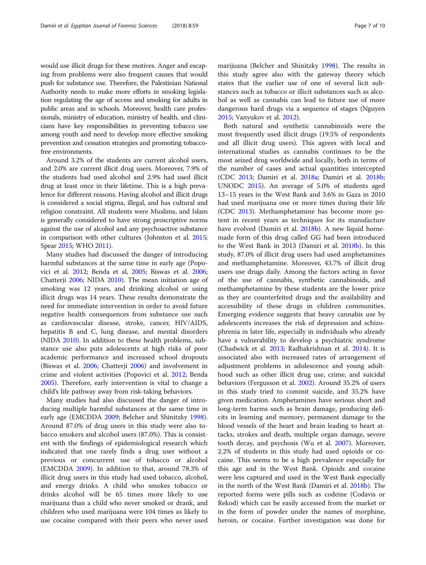would use illicit drugs for these motives. Anger and escaping from problems were also frequent causes that would push for substance use. Therefore, the Palestinian National Authority needs to make more efforts in smoking legislation regulating the age of access and smoking for adults in public areas and in schools. Moreover, health care professionals, ministry of education, ministry of health, and clinicians have key responsibilities in preventing tobacco use among youth and need to develop more effective smoking prevention and cessation strategies and promoting tobaccofree environments.

Around 3.2% of the students are current alcohol users, and 2.0% are current illicit drug users. Moreover, 7.9% of the students had used alcohol and 2.9% had used illicit drug at least once in their lifetime. This is a high prevalence for different reasons. Having alcohol and illicit drugs is considered a social stigma, illegal, and has cultural and religion constraint. All students were Muslims, and Islam is generally considered to have strong proscriptive norms against the use of alcohol and any psychoactive substance in comparison with other cultures (Johnston et al. [2015](#page-8-0); Spear [2015;](#page-8-0) WHO [2011](#page-9-0)).

Many studies had discussed the danger of introducing harmful substances at the same time in early age (Popovici et al. [2012](#page-8-0); Benda et al, [2005;](#page-8-0) Biswas et al. [2006](#page-8-0); Chatterji [2006;](#page-8-0) NIDA [2010\)](#page-8-0). The mean initiation age of smoking was 12 years, and drinking alcohol or using illicit drugs was 14 years. These results demonstrate the need for immediate intervention in order to avoid future negative health consequences from substance use such as cardiovascular disease, stroke, cancer, HIV/AIDS, hepatitis B and C, lung disease, and mental disorders (NIDA [2010](#page-8-0)). In addition to these health problems, substance use also puts adolescents at high risks of poor academic performance and increased school dropouts (Biswas et al. [2006;](#page-8-0) Chatterji [2006\)](#page-8-0) and involvement in crime and violent activities (Popovici et al. [2012](#page-8-0); Benda [2005](#page-8-0)). Therefore, early intervention is vital to change a child's life pathway away from risk-taking behaviors.

Many studies had also discussed the danger of introducing multiple harmful substances at the same time in early age (EMCDDA [2009;](#page-8-0) Belcher and Shinitzky [1998](#page-8-0)). Around 87.0% of drug users in this study were also tobacco smokers and alcohol users (87.0%). This is consistent with the findings of epidemiological research which indicated that one rarely finds a drug user without a previous or concurrent use of tobacco or alcohol (EMCDDA [2009](#page-8-0)). In addition to that, around 78.3% of illicit drug users in this study had used tobacco, alcohol, and energy drinks. A child who smokes tobacco or drinks alcohol will be 65 times more likely to use marijuana than a child who never smoked or drank, and children who used marijuana were 104 times as likely to use cocaine compared with their peers who never used

marijuana (Belcher and Shinitzky [1998](#page-8-0)). The results in this study agree also with the gateway theory which states that the earlier use of one of several licit substances such as tobacco or illicit substances such as alcohol as well as cannabis can lead to future use of more dangerous hard drugs via a sequence of stages (Nguyen [2015](#page-8-0); Vanyukov et al. [2012\)](#page-9-0).

Both natural and synthetic cannabinoids were the most frequently used illicit drugs (19.5% of respondents and all illicit drug users). This agrees with local and international studies as cannabis continues to be the most seized drug worldwide and locally, both in terms of the number of cases and actual quantities intercepted (CDC [2013](#page-8-0); Damiri et al. [2018a](#page-8-0); Damiri et al. [2018b](#page-8-0); UNODC [2015\)](#page-9-0). An average of 5.0% of students aged 13–15 years in the West Bank and 3.6% in Gaza in 2010 had used marijuana one or more times during their life (CDC [2013\)](#page-8-0). Methamphetamine has become more potent in recent years as techniques for its manufacture have evolved (Damiri et al. [2018b](#page-8-0)). A new liquid homemade form of this drug called GG had been introduced to the West Bank in 2013 (Damiri et al. [2018b](#page-8-0)). In this study, 87.0% of illicit drug users had used amphetamines and methamphetamine. Moreover, 43.7% of illicit drug users use drugs daily. Among the factors acting in favor of the use of cannabis, synthetic cannabinoids, and methamphetamine by these students are the lower price as they are counterfeited drugs and the availability and accessibility of these drugs in children communities. Emerging evidence suggests that heavy cannabis use by adolescents increases the risk of depression and schizophrenia in later life, especially in individuals who already have a vulnerability to develop a psychiatric syndrome (Chadwick et al. [2013;](#page-8-0) Radhakrishnan et al. [2014](#page-8-0)). It is associated also with increased rates of arrangement of adjustment problems in adolescence and young adulthood such as other illicit drug use, crime, and suicidal behaviors (Fergusson et al. [2002\)](#page-8-0). Around 35.2% of users in this study tried to commit suicide, and 35.2% have given medication. Amphetamines have serious short and long-term harms such as brain damage, producing deficits in learning and memory, permanent damage to the blood vessels of the heart and brain leading to heart attacks, strokes and death, multiple organ damage, severe tooth decay, and psychosis (Wu et al. [2007\)](#page-9-0). Moreover, 2.2% of students in this study had used opioids or cocaine. This seems to be a high prevalence especially for this age and in the West Bank. Opioids and cocaine were less captured and used in the West Bank especially in the north of the West Bank (Damiri et al. [2018b](#page-8-0)). The reported forms were pills such as codeine (Codavis or Rekod) which can be easily accessed from the market or in the form of powder under the names of morphine, heroin, or cocaine. Further investigation was done for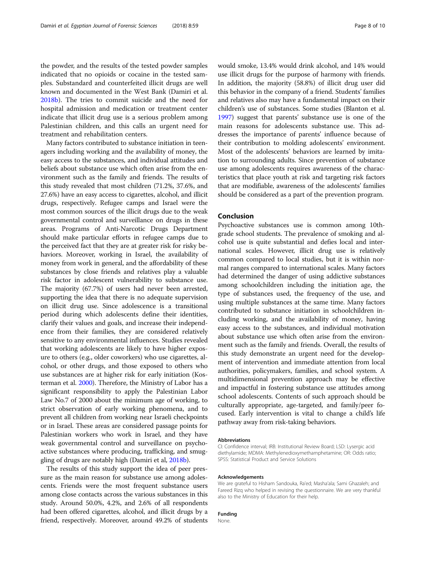the powder, and the results of the tested powder samples indicated that no opioids or cocaine in the tested samples. Substandard and counterfeited illicit drugs are well known and documented in the West Bank (Damiri et al. [2018b](#page-8-0)). The tries to commit suicide and the need for hospital admission and medication or treatment center indicate that illicit drug use is a serious problem among Palestinian children, and this calls an urgent need for treatment and rehabilitation centers.

Many factors contributed to substance initiation in teenagers including working and the availability of money, the easy access to the substances, and individual attitudes and beliefs about substance use which often arise from the environment such as the family and friends. The results of this study revealed that most children (71.2%, 37.6%, and 27.6%) have an easy access to cigarettes, alcohol, and illicit drugs, respectively. Refugee camps and Israel were the most common sources of the illicit drugs due to the weak governmental control and surveillance on drugs in these areas. Programs of Anti-Narcotic Drugs Department should make particular efforts in refugee camps due to the perceived fact that they are at greater risk for risky behaviors. Moreover, working in Israel, the availability of money from work in general, and the affordability of these substances by close friends and relatives play a valuable risk factor in adolescent vulnerability to substance use. The majority (67.7%) of users had never been arrested, supporting the idea that there is no adequate supervision on illicit drug use. Since adolescence is a transitional period during which adolescents define their identities, clarify their values and goals, and increase their independence from their families, they are considered relatively sensitive to any environmental influences. Studies revealed that working adolescents are likely to have higher exposure to others (e.g., older coworkers) who use cigarettes, alcohol, or other drugs, and those exposed to others who use substances are at higher risk for early initiation (Kosterman et al. [2000](#page-8-0)). Therefore, the Ministry of Labor has a significant responsibility to apply the Palestinian Labor Law No.7 of 2000 about the minimum age of working, to strict observation of early working phenomena, and to prevent all children from working near Israeli checkpoints or in Israel. These areas are considered passage points for Palestinian workers who work in Israel, and they have weak governmental control and surveillance on psychoactive substances where producing, trafficking, and smuggling of drugs are notably high (Damiri et al, [2018b\)](#page-8-0).

The results of this study support the idea of peer pressure as the main reason for substance use among adolescents. Friends were the most frequent substance users among close contacts across the various substances in this study. Around 50.0%, 4.2%, and 2.6% of all respondents had been offered cigarettes, alcohol, and illicit drugs by a friend, respectively. Moreover, around 49.2% of students would smoke, 13.4% would drink alcohol, and 14% would use illicit drugs for the purpose of harmony with friends. In addition, the majority (58.8%) of illicit drug user did this behavior in the company of a friend. Students' families and relatives also may have a fundamental impact on their children's use of substances. Some studies (Blanton et al. [1997\)](#page-8-0) suggest that parents' substance use is one of the main reasons for adolescents substance use. This addresses the importance of parents' influence because of their contribution to molding adolescents' environment. Most of the adolescents' behaviors are learned by imitation to surrounding adults. Since prevention of substance use among adolescents requires awareness of the characteristics that place youth at risk and targeting risk factors that are modifiable, awareness of the adolescents' families should be considered as a part of the prevention program.

#### Conclusion

Psychoactive substances use is common among 10thgrade school students. The prevalence of smoking and alcohol use is quite substantial and defies local and international scales. However, illicit drug use is relatively common compared to local studies, but it is within normal ranges compared to international scales. Many factors had determined the danger of using addictive substances among schoolchildren including the initiation age, the type of substances used, the frequency of the use, and using multiple substances at the same time. Many factors contributed to substance initiation in schoolchildren including working, and the availability of money, having easy access to the substances, and individual motivation about substance use which often arise from the environment such as the family and friends. Overall, the results of this study demonstrate an urgent need for the development of intervention and immediate attention from local authorities, policymakers, families, and school system. A multidimensional prevention approach may be effective and impactful in fostering substance use attitudes among school adolescents. Contents of such approach should be culturally appropriate, age-targeted, and family/peer focused. Early intervention is vital to change a child's life pathway away from risk-taking behaviors.

#### Abbreviations

CI: Confidence interval; IRB: Institutional Review Board; LSD: Lysergic acid diethylamide; MDMA: Methylenedioxymethamphetamine; OR: Odds ratio; SPSS: Statistical Product and Service Solutions

#### Acknowledgements

We are grateful to Hisham Sandouka, Ra'ed; Masha'ala; Sami Ghazaleh; and Fareed Rizq who helped in revising the questionnaire. We are very thankful also to the Ministry of Education for their help.

#### Funding

None.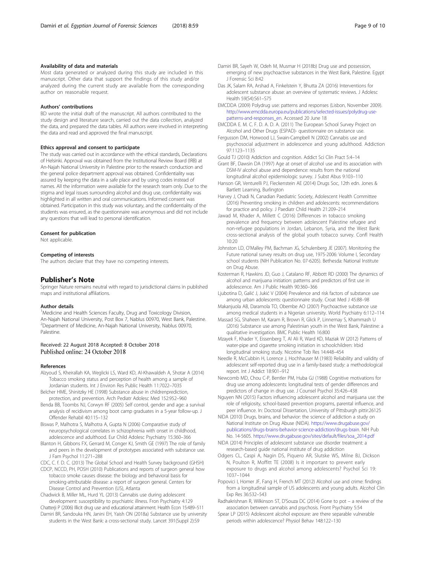#### <span id="page-8-0"></span>Availability of data and materials

Most data generated or analyzed during this study are included in this manuscript. Other data that support the findings of this study and/or analyzed during the current study are available from the corresponding author on reasonable request.

#### Authors' contributions

BD wrote the initial draft of the manuscript. All authors contributed to the study design and literature search, carried out the data collection, analyzed the data, and prepared the data tables. All authors were involved in interpreting the data and read and approved the final manuscript.

## Ethics approval and consent to participate

The study was carried out in accordance with the ethical standards, Declarations of Helsinki. Approval was obtained from the Institutional Review Board (IRB) at An-Najah National University in Palestine prior to the research conduction and the general police department approval was obtained. Confidentiality was assured by keeping the data in a safe place and by using codes instead of names. All the information were available for the research team only. Due to the stigma and legal issues surrounding alcohol and drug use, confidentiality was highlighted in all written and oral communications. Informed consent was obtained. Participation in this study was voluntary, and the confidentiality of the students was ensured, as the questionnaire was anonymous and did not include any questions that will lead to personal identification.

#### Consent for publication

Not applicable.

#### Competing of interests

The authors declare that they have no competing interests.

# Publisher's Note

Springer Nature remains neutral with regard to jurisdictional claims in published maps and institutional affiliations.

#### Author details

<sup>1</sup>Medicine and Health Sciences Faculty, Drug and Toxicology Division, An-Najah National University, Post Box 7, Nablus 00970, West Bank, Palestine. 2 Department of Medicine, An-Najah National University, Nablus 00970, Palestine.

#### Received: 22 August 2018 Accepted: 8 October 2018 Published online: 24 October 2018

#### References

- Alzyoud S, Kheirallah KA, Weglicki LS, Ward KD, Al-Khawaldeh A, Shotar A (2014) Tobacco smoking status and perception of health among a sample of Jordanian students. Int J Environ Res Public Health 11:7022–7035
- Belcher HME, Shinitzky HE (1998) Substance abuse in childrenprediction, protection, and prevention. Arch Pediatr Adolesc Med 152:952–960
- Benda BB, Toombs NJ, Corwyn RF (2005) Self control, gender and age: a survival analysis of recidivism among boot camp graduates in a 5-year follow-up. J Offender Rehabil 40:115–132
- Biswas P, Malhotra S, Malhotra A, Gupta N (2006) Comparative study of neuropsychological correlates in schizophrenia with onset in childhood, adolescence and adulthood. Eur Child Adolesc Psychiatry 15:360–366
- Blanton H, Gibbons FX, Gerrard M, Conger KJ, Smith GE (1997) The role of family and peers in the development of prototypes associated with substance use. J Fam Psychol 11:271–288
- CDC, C. f. D. C. (2013) The Global School and Health Survey background (GHSH)
- CDCP, NCCD, PH, POSH (2010) Publications and reports of surgeon general how tobacco smoke causes disease: the biology and behavioral basis for smoking-attributable disease: a report of surgeon general. Centers for Disease Control and Prevention (US), Atlanta

Chadwick B, Miller ML, Hurd YL (2013) Cannabis use during adolescent development: susceptibility to psychiatric illness. Fron Psychiatry 4:129 Chatterji P (2006) Illicit drug use and educational attainment. Health Econ 15:489–511

Damiri BR, Sandouka HN, Janini EH, Yaish ON (2018a) Substance use by university students in the West Bank: a cross-sectional study. Lancet 391(Suppl 2):S9

- Damiri BR, Sayeh W, Odeh M, Musmar H (2018b) Drug use and possession, emerging of new psychoactive substances in the West Bank, Palestine. Egypt J Forensic Sci 8:42
- Das JK, Salam RA, Arshad A, Finkelstein Y, Bhutta ZA (2016) Interventions for adolescent substance abuse: an overview of systematic reviews. J Adolesc Health 59(S4):S61–S75
- EMCDDA (2009) Polydrug use: patterns and responses (Lisbon, November 2009). [http://www.emcdda.europa.eu/publications/selected-issues/polydrug-use](http://www.emcdda.europa.eu/publications/selected-issues/polydrug-use-patterns-and-responses_en)[patterns-and-responses\\_en.](http://www.emcdda.europa.eu/publications/selected-issues/polydrug-use-patterns-and-responses_en) Accessed 20 June 18

EMCDDA E. M. C. F. D. A. D. A. (2011) The European School Survey Project on Alcohol and Other Drugs (ESPAD)- questionnaire on substance use.

- Fergusson DM, Horwood LJ, Swain-Campbell N (2002) Cannabis use and psychosocial adjustment in adolescence and young adulthood. Addiction 97:1123–1135
- Gould TJ (2010) Addiction and cognition. Addict Sci Clin Pract 5:4–14
- Grant BF, Dawsin DA (1997) Age at onset of alcohol use and its association with DSM-IV alcohol abuse and dependence: results from the national longitudinal alcohol epidemiologic survey. J Subst Abus 9:103–110
- Hanson GR, Venturelli PJ, Fleckenstein AE (2014) Drugs Soc, 12th edn. Jones & Bartlett Learning, Burlington
- Harvey J, Chadi N, Canadian Paediatric Society, Adolescent Health Committee (2016) Preventing smoking in children and adolescents: recommendations for practice and policy. J Paediatr Child Health 21:209–214
- Jawad M, Khader A, Millett C (2016) Differences in tobacco smoking prevalence and frequency between adolescent Palestine refugee and non-refugee populations in Jordan, Lebanon, Syria, and the West Bank: cross-sectional analysis of the global youth tobacco survey. Confl Health 10:20
- Johnston LD, O'Malley PM, Bachman JG, Schulenberg JE (2007). Monitoring the Future national survey results on drug use, 1975-2006: Volume I, Secondary school students (NIH Publication No. 07-6205). Bethesda: National Institute on Drug Abuse.
- Kosterman R, Hawkins JD, Guo J, Catalano RF, Abbott RD (2000) The dynamics of alcohol and marijuana initiation: patterns and predictors of first use in adolescence. Am J Public Health 90:360–366
- Ljubotina D, Galić J, Jukić V (2004) Prevalence and risk factors of substance use among urban adolescents: questionnaire study. Croat Med J 45:88–98
- Makanjuola AB, Daramola TO, Obembe AO (2007) Psychoactive substance use among medical students in a Nigerian university. World Psychiatry 6:112–114
- Massad SG, Shaheen M, Karam R, Brown R, Glick P, Linnemay S, Khammash U (2016) Substance use among Palestinian youth in the West Bank, Palestine: a qualitative investigation. BMC Public Health 16:800
- Mzayek F, Khader Y, Eissenberg T, Al Ali R, Ward KD, Maziak W (2012) Patterns of water-pipe and cigarette smoking initiation in schoolchildren: Irbid longitudinal smoking study. Nicotine Tob Res 14:448–454
- Needle R, McCubbin H, Lorence J, Hochhauser M (1983) Reliability and validity of adolescent self-reported drug use in a family-based study: a methodological report. Int J Addict 18:901–912
- Newcomb MD, Chou C-P, Bentler PM, Huba GJ (1988) Cognitive motivations for drug use among adolescents: longitudinal tests of gender differences and predictors of change in drug use. J Counsel Psychol 35:426–438
- Nguyen NN (2015) Factors influencing adolescent alcohol and marijuana use: the role of religiosity, school-based prevention programs, parental influence, and peer influence. In: Doctoral Dissertation, University of Pittsburgh pittir:26125
- NIDA (2010) Drugs, brains, and behavior: the science of addiction a study on National Institute on Drug Abuse (NIDA). [https://www.drugabuse.gov/](https://www.drugabuse.gov/publications/drugs-brains-behavior-science-addiction/drugs-brain) [publications/drugs-brains-behavior-science-addiction/drugs-brain](https://www.drugabuse.gov/publications/drugs-brains-behavior-science-addiction/drugs-brain). NIH Pub No. 14-5605. [https://www.drugabuse.gov/sites/default/files/soa\\_2014.pdf](https://www.drugabuse.gov/sites/default/files/soa_2014.pdf)
- NIDA (2014) Principles of adolescent substance use disorder treatment: a research-based guide national institute of drug addicition
- Odgers CL, Caspi A, Nagin DS, Piquero AR, Slutske WS, Milne BJ, Dickson N, Poulton R, Moffitt TE (2008) Is it important to prevent early exposure to drugs and alcohol among adolescents? Psychol Sci 19: 1037–1044
- Popovici I, Homer JF, Fang H, French MT (2012) Alcohol use and crime: findings from a longitudinal sample of US adolescents and young adults. Alcohol Clin Exp Res 36:532–543
- Radhakrishnan R, Wilkinson ST, D'Souza DC (2014) Gone to pot a review of the association between cannabis and psychosis. Front Psychiatry 5:54
- Spear LP (2015) Adolescent alcohol exposure: are there separable vulnerable periods within adolescence? Physiol Behav 148:122–130